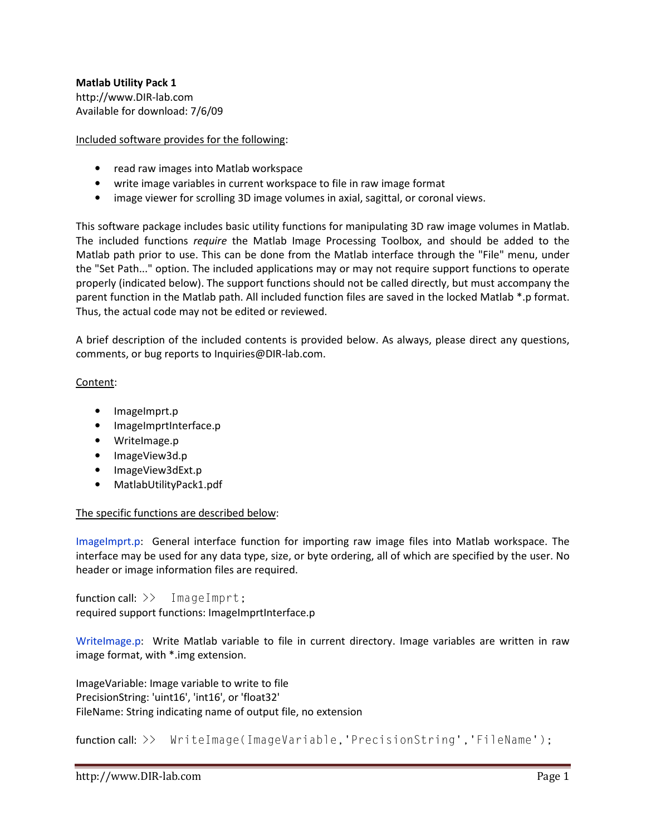## Included software provides for the following:

- read raw images into Matlab workspace
- write image variables in current workspace to file in raw image format
- image viewer for scrolling 3D image volumes in axial, sagittal, or coronal views.

This software package includes basic utility functions for manipulating 3D raw image volumes in Matlab. The included functions *require* the Matlab Image Processing Toolbox, and should be added to the Matlab path prior to use. This can be done from the Matlab interface through the "File" menu, under the "Set Path..." option. The included applications may or may not require support functions to operate properly (indicated below). The support functions should not be called directly, but must accompany the parent function in the Matlab path. All included function files are saved in the locked Matlab \*.p format. Thus, the actual code may not be edited or reviewed.

A brief description of the included contents is provided below. As always, please direct any questions, comments, or bug reports to Inquiries@DIR-lab.com.

## Content:

- ImageImprt.p
- ImageImprtInterface.p
- WriteImage.p
- ImageView3d.p
- ImageView3dExt.p
- MatlabUtilityPack1.pdf

## The specific functions are described below:

ImageImprt.p: General interface function for importing raw image files into Matlab workspace. The interface may be used for any data type, size, or byte ordering, all of which are specified by the user. No header or image information files are required.

function call: >> ImageImprt; required support functions: ImageImprtInterface.p

WriteImage.p: Write Matlab variable to file in current directory. Image variables are written in raw image format, with \*.img extension.

ImageVariable: Image variable to write to file PrecisionString: 'uint16', 'int16', or 'float32' FileName: String indicating name of output file, no extension

function call: >> WriteImage(ImageVariable, 'PrecisionString', 'FileName');